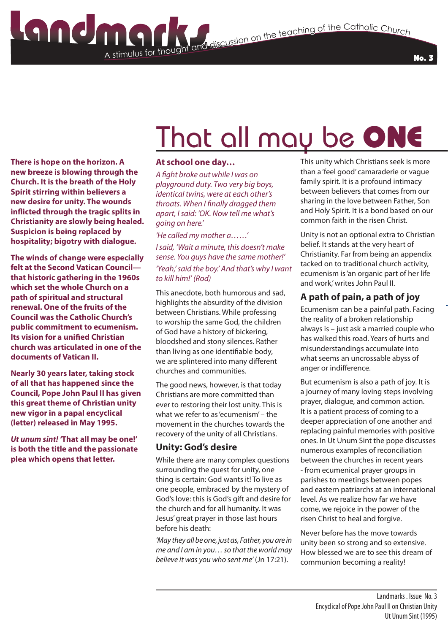#### No. 3

# That all may be ONE

**There is hope on the horizon. A new breeze is blowing through the Church. It is the breath of the Holy Spirit stirring within believers a new desire for unity. The wounds inflicted through the tragic splits in Christianity are slowly being healed. Suspicion is being replaced by hospitality; bigotry with dialogue.**

**The winds of change were especially felt at the Second Vatican Council that historic gathering in the 1960s which set the whole Church on a path of spiritual and structural renewal. One of the fruits of the Council was the Catholic Church's public commitment to ecumenism. Its vision for a unified Christian church was articulated in one of the documents of Vatican II.**

**Nearly 30 years later, taking stock of all that has happened since the Council, Pope John Paul II has given this great theme of Christian unity new vigor in a papal encyclical (letter) released in May 1995.**

*Ut unum sint! '***That all may be one!' is both the title and the passionate plea which opens that letter.**

#### **At school one day…**

A stimulus for thought

*A fight broke out while I was on playground duty. Two very big boys, identical twins, were at each other's throats. When I finally dragged them apart, I said: 'OK. Now tell me what's going on here.'*

*'He called my mother a……' I said, 'Wait a minute, this doesn't make sense. You guys have the same mother!' 'Yeah,' said the boy.' And that's why I want to kill him!' (Rod)*

This anecdote, both humorous and sad, highlights the absurdity of the division between Christians. While professing to worship the same God, the children of God have a history of bickering, bloodshed and stony silences. Rather than living as one identifiable body, we are splintered into many different churches and communities.

The good news, however, is that today Christians are more committed than ever to restoring their lost unity. This is what we refer to as 'ecumenism' – the movement in the churches towards the recovery of the unity of all Christians.

#### **Unity: God's desire**

While there are many complex questions surrounding the quest for unity, one thing is certain: God wants it! To live as one people, embraced by the mystery of God's love: this is God's gift and desire for the church and for all humanity. It was Jesus' great prayer in those last hours before his death:

*'May they all be one, just as, Father, you are in me and I am in you… so that the world may believe it was you who sent me'* (Jn 17:21).

This unity which Christians seek is more than a 'feel good' camaraderie or vague family spirit. It is a profound intimacy between believers that comes from our sharing in the love between Father, Son and Holy Spirit. It is a bond based on our common faith in the risen Christ.

Unity is not an optional extra to Christian belief. It stands at the very heart of Christianity. Far from being an appendix tacked on to traditional church activity, ecumenism is 'an organic part of her life and work,' writes John Paul II.

### **A path of pain, a path of joy**

Ecumenism can be a painful path. Facing the reality of a broken relationship always is – just ask a married couple who has walked this road. Years of hurts and misunderstandings accumulate into what seems an uncrossable abyss of anger or indifference.

But ecumenism is also a path of joy. It is a journey of many loving steps involving prayer, dialogue, and common action. It is a patient process of coming to a deeper appreciation of one another and replacing painful memories with positive ones. In Ut Unum Sint the pope discusses numerous examples of reconciliation between the churches in recent years - from ecumenical prayer groups in parishes to meetings between popes and eastern patriarchs at an international level. As we realize how far we have come, we rejoice in the power of the risen Christ to heal and forgive.

Never before has the move towards unity been so strong and so extensive. How blessed we are to see this dream of communion becoming a reality!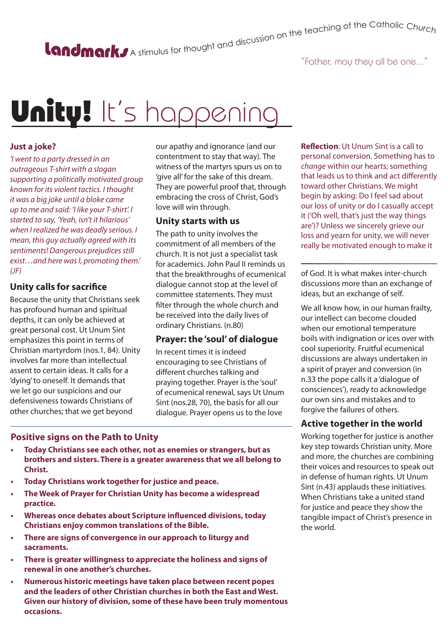# A stimulus for thought and discussion on the teaching of the Catholic Churc<sub>h</sub>

### "Father, may they all be one..."

# Unity! It's happening

#### **Just a joke?**

*'I went to a party dressed in an outrageous T-shirt with a slogan supporting a politically motivated group known for its violent tactics. I thought it was a big joke until a bloke came up to me and said: 'I like your T-shirt'. I started to say, 'Yeah, isn't it hilarious' when I realized he was deadly serious. I mean, this guy actually agreed with its sentiments! Dangerous prejudices still exist…and here was I, promoting them.' (JF)*

#### **Unity calls for sacrifice**

Because the unity that Christians seek has profound human and spiritual depths, it can only be achieved at great personal cost. Ut Unum Sint emphasizes this point in terms of Christian martyrdom (nos.1, 84). Unity involves far more than intellectual assent to certain ideas. It calls for a 'dying' to oneself. It demands that we let go our suspicions and our defensiveness towards Christians of other churches; that we get beyond

our apathy and ignorance (and our contentment to stay that way). The witness of the martyrs spurs us on to 'give all' for the sake of this dream. They are powerful proof that, through embracing the cross of Christ, God's love will win through.

#### **Unity starts with us**

The path to unity involves the commitment of all members of the church. It is not just a specialist task for academics. John Paul II reminds us that the breakthroughs of ecumenical dialogue cannot stop at the level of committee statements. They must filter through the whole church and be received into the daily lives of ordinary Christians. (n.80)

#### **Prayer: the 'soul' of dialogue**

In recent times it is indeed encouraging to see Christians of different churches talking and praying together. Prayer is the 'soul' of ecumenical renewal, says Ut Unum Sint (nos.28, 70), the basis for all our dialogue. Prayer opens us to the love

#### **Positive signs on the Path to Unity**

- **• Today Christians see each other, not as enemies or strangers, but as brothers and sisters. There is a greater awareness that we all belong to Christ.**
- **• Today Christians work together for justice and peace.**
- **• The Week of Prayer for Christian Unity has become a widespread practice.**
- **• Whereas once debates about Scripture influenced divisions, today Christians enjoy common translations of the Bible.**
- **• There are signs of convergence in our approach to liturgy and sacraments.**
- **• There is greater willingness to appreciate the holiness and signs of renewal in one another's churches.**
- **• Numerous historic meetings have taken place between recent popes and the leaders of other Christian churches in both the East and West. Given our history of division, some of these have been truly momentous occasions.**

**Reflection**: Ut Unum Sint is a call to personal conversion. Something has to *change* within our hearts; something that leads us to think and act differently toward other Christians. We might begin by asking: Do I feel sad about our loss of unity or do I casually accept it ('Oh well, that's just the way things are')? Unless we sincerely grieve our loss and yearn for unity, we will never really be motivated enough to make it

of God. It is what makes inter-church discussions more than an exchange of ideas, but an exchange of self.

We all know how, in our human frailty, our intellect can become clouded when our emotional temperature boils with indignation or ices over with cool superiority. Fruitful ecumenical discussions are always undertaken in a spirit of prayer and conversion (in n.33 the pope calls it a 'dialogue of consciences'), ready to acknowledge our own sins and mistakes and to forgive the failures of others.

#### **Active together in the world**

Working together for justice is another key step towards Christian unity. More and more, the churches are combining their voices and resources to speak out in defense of human rights. Ut Unum Sint (n.43) applauds these initiatives. When Christians take a united stand for justice and peace they show the tangible impact of Christ's presence in the world.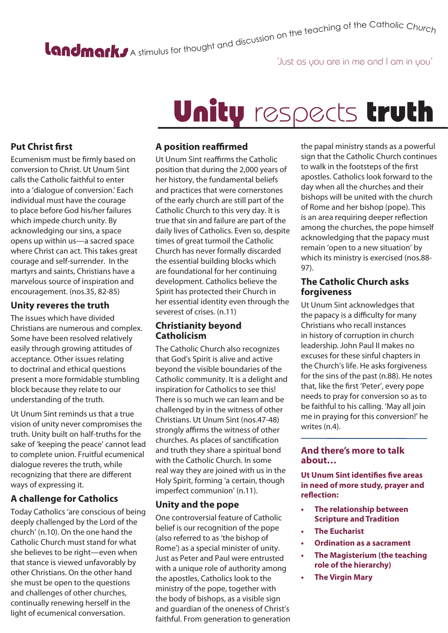# A stimulus for thought and discussion on the teaching of the Catholic Churc<sub>h</sub>

### 'Just as you are in me and I am in you'

## **Put Christ first**

Ecumenism must be firmly based on conversion to Christ. Ut Unum Sint calls the Catholic faithful to enter into a 'dialogue of conversion.' Each individual must have the courage to place before God his/her failures which impede church unity. By acknowledging our sins, a space opens up within us—a sacred space where Christ can act. This takes great courage and self-surrender. In the martyrs and saints, Christians have a marvelous source of inspiration and encouragement. (nos.35, 82-85)

#### **Unity reveres the truth**

The issues which have divided Christians are numerous and complex. Some have been resolved relatively easily through growing attitudes of acceptance. Other issues relating to doctrinal and ethical questions present a more formidable stumbling block because they relate to our understanding of the truth.

Ut Unum Sint reminds us that a true vision of unity never compromises the truth. Unity built on half-truths for the sake of 'keeping the peace' cannot lead to complete union. Fruitful ecumenical dialogue reveres the truth, while recognizing that there are different ways of expressing it.

### **A challenge for Catholics**

Today Catholics 'are conscious of being deeply challenged by the Lord of the church' (n.10). On the one hand the Catholic Church must stand for what she believes to be right—even when that stance is viewed unfavorably by other Christians. On the other hand she must be open to the questions and challenges of other churches, continually renewing herself in the light of ecumenical conversation.

# Unity respects truth

#### **A position reaffirmed**

Ut Unum Sint reaffirms the Catholic position that during the 2,000 years of her history, the fundamental beliefs and practices that were cornerstones of the early church are still part of the Catholic Church to this very day. It is true that sin and failure are part of the daily lives of Catholics. Even so, despite times of great turmoil the Catholic Church has never formally discarded the essential building blocks which are foundational for her continuing development. Catholics believe the Spirit has protected their Church in her essential identity even through the severest of crises. (n.11)

### **Christianity beyond Catholicism**

The Catholic Church also recognizes that God's Spirit is alive and active beyond the visible boundaries of the Catholic community. It is a delight and inspiration for Catholics to see this! There is so much we can learn and be challenged by in the witness of other Christians. Ut Unum Sint (nos.47-48) strongly affirms the witness of other churches. As places of sanctification and truth they share a spiritual bond with the Catholic Church. In some real way they are joined with us in the Holy Spirit, forming 'a certain, though imperfect communion' (n.11).

### **Unity and the pope**

One controversial feature of Catholic belief is our recognition of the pope (also referred to as 'the bishop of Rome') as a special minister of unity. Just as Peter and Paul were entrusted with a unique role of authority among the apostles, Catholics look to the ministry of the pope, together with the body of bishops, as a visible sign and guardian of the oneness of Christ's faithful. From generation to generation

the papal ministry stands as a powerful sign that the Catholic Church continues to walk in the footsteps of the first apostles. Catholics look forward to the day when all the churches and their bishops will be united with the church of Rome and her bishop (pope). This is an area requiring deeper reflection among the churches, the pope himself acknowledging that the papacy must remain 'open to a new situation' by which its ministry is exercised (nos.88- 97).

#### **The Catholic Church asks forgiveness**

Ut Unum Sint acknowledges that the papacy is a difficulty for many Christians who recall instances in history of corruption in church leadership. John Paul II makes no excuses for these sinful chapters in the Church's life. He asks forgiveness for the sins of the past (n.88). He notes that, like the first 'Peter', every pope needs to pray for conversion so as to be faithful to his calling. 'May all join me in praying for this conversion!' he writes (n.4).

#### **And there's more to talk about…**

**Ut Unum Sint identifies five areas in need of more study, prayer and reflection:**

- **• The relationship between Scripture and Tradition**
- **• The Eucharist**
- **• Ordination as a sacrament**
- **• The Magisterium (the teaching role of the hierarchy)**
- **• The Virgin Mary**